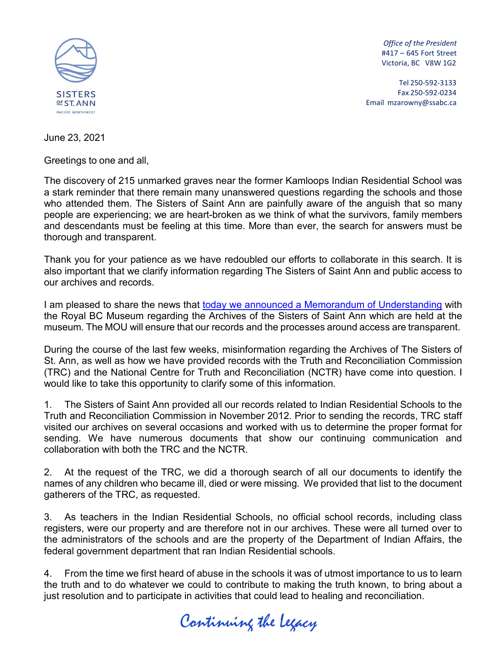

*Office of the President* #417 – 645 Fort Street Victoria, BC V8W 1G2

Tel 250-592-3133 Fax 250-592-0234 Email [mzarowny@ssabc.ca](mailto:mzarowny@ssabc.ca)

June 23, 2021

Greetings to one and all,

The discovery of 215 unmarked graves near the former Kamloops Indian Residential School was a stark reminder that there remain many unanswered questions regarding the schools and those who attended them. The Sisters of Saint Ann are painfully aware of the anguish that so many people are experiencing; we are heart-broken as we think of what the survivors, family members and descendants must be feeling at this time. More than ever, the search for answers must be thorough and transparent.

Thank you for your patience as we have redoubled our efforts to collaborate in this search. It is also important that we clarify information regarding The Sisters of Saint Ann and public access to our archives and records.

I am pleased to share the news that [today we announced a Memorandum of Understanding](https://royalbcmuseum.bc.ca/assets/MOU-signed-by-RBCM-and-Sisters-of-St-Ann_June-21-2021.pdf) with the Royal BC Museum regarding the Archives of the Sisters of Saint Ann which are held at the museum. The MOU will ensure that our records and the processes around access are transparent.

During the course of the last few weeks, misinformation regarding the Archives of The Sisters of St. Ann, as well as how we have provided records with the Truth and Reconciliation Commission (TRC) and the National Centre for Truth and Reconciliation (NCTR) have come into question. I would like to take this opportunity to clarify some of this information.

1. The Sisters of Saint Ann provided all our records related to Indian Residential Schools to the Truth and Reconciliation Commission in November 2012. Prior to sending the records, TRC staff visited our archives on several occasions and worked with us to determine the proper format for sending. We have numerous documents that show our continuing communication and collaboration with both the TRC and the NCTR.

2. At the request of the TRC, we did a thorough search of all our documents to identify the names of any children who became ill, died or were missing. We provided that list to the document gatherers of the TRC, as requested.

3. As teachers in the Indian Residential Schools, no official school records, including class registers, were our property and are therefore not in our archives. These were all turned over to the administrators of the schools and are the property of the Department of Indian Affairs, the federal government department that ran Indian Residential schools.

4. From the time we first heard of abuse in the schools it was of utmost importance to us to learn the truth and to do whatever we could to contribute to making the truth known, to bring about a just resolution and to participate in activities that could lead to healing and reconciliation.

Continuing the Legacy